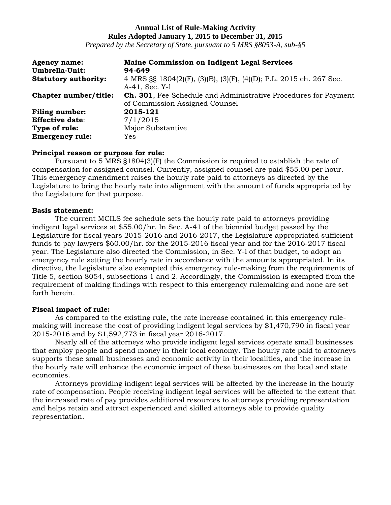## **Annual List of Rule-Making Activity Rules Adopted January 1, 2015 to December 31, 2015**

*Prepared by the Secretary of State, pursuant to 5 MRS §8053-A, sub-§5*

| <b>Agency name:</b><br>Umbrella-Unit: | <b>Maine Commission on Indigent Legal Services</b><br>94-649                                              |
|---------------------------------------|-----------------------------------------------------------------------------------------------------------|
| <b>Statutory authority:</b>           | 4 MRS §§ 1804(2)(F), (3)(B), (3)(F), (4)(D); P.L. 2015 ch. 267 Sec.<br>A-41, Sec. Y-1                     |
| Chapter number/title:                 | <b>Ch. 301</b> , Fee Schedule and Administrative Procedures for Payment<br>of Commission Assigned Counsel |
| <b>Filing number:</b>                 | 2015-121                                                                                                  |
| <b>Effective date:</b>                | 7/1/2015                                                                                                  |
| Type of rule:                         | Major Substantive                                                                                         |
| <b>Emergency rule:</b>                | Yes                                                                                                       |

## **Principal reason or purpose for rule:**

Pursuant to 5 MRS §1804(3)(F) the Commission is required to establish the rate of compensation for assigned counsel. Currently, assigned counsel are paid \$55.00 per hour. This emergency amendment raises the hourly rate paid to attorneys as directed by the Legislature to bring the hourly rate into alignment with the amount of funds appropriated by the Legislature for that purpose.

### **Basis statement:**

The current MCILS fee schedule sets the hourly rate paid to attorneys providing indigent legal services at \$55.00/hr. In Sec. A-41 of the biennial budget passed by the Legislature for fiscal years 2015-2016 and 2016-2017, the Legislature appropriated sufficient funds to pay lawyers \$60.00/hr. for the 2015-2016 fiscal year and for the 2016-2017 fiscal year. The Legislature also directed the Commission, in Sec. Y-l of that budget, to adopt an emergency rule setting the hourly rate in accordance with the amounts appropriated. In its directive, the Legislature also exempted this emergency rule-making from the requirements of Title 5, section 8054, subsections 1 and 2. Accordingly, the Commission is exempted from the requirement of making findings with respect to this emergency rulemaking and none are set forth herein.

## **Fiscal impact of rule:**

As compared to the existing rule, the rate increase contained in this emergency rulemaking will increase the cost of providing indigent legal services by \$1,470,790 in fiscal year 2015-2016 and by \$1,592,773 in fiscal year 2016-2017.

Nearly all of the attorneys who provide indigent legal services operate small businesses that employ people and spend money in their local economy. The hourly rate paid to attorneys supports these small businesses and economic activity in their localities, and the increase in the hourly rate will enhance the economic impact of these businesses on the local and state economies.

Attorneys providing indigent legal services will be affected by the increase in the hourly rate of compensation. People receiving indigent legal services will be affected to the extent that the increased rate of pay provides additional resources to attorneys providing representation and helps retain and attract experienced and skilled attorneys able to provide quality representation.